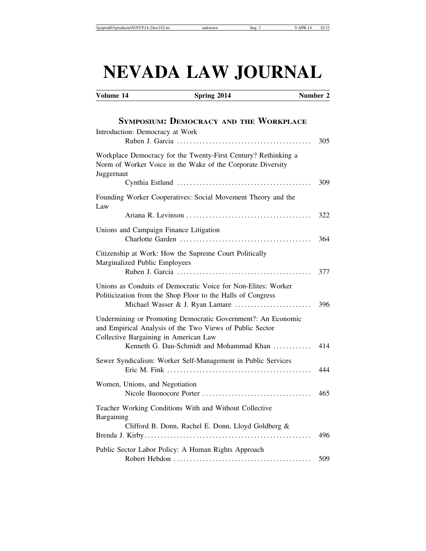# **NEVADA LAW JOURNAL**

Volume 14 Spring 2014 **Number 2** 

| <b>SYMPOSIUM: DEMOCRACY AND THE WORKPLACE</b>                                                                                                                     |     |
|-------------------------------------------------------------------------------------------------------------------------------------------------------------------|-----|
| Introduction: Democracy at Work                                                                                                                                   | 305 |
| Workplace Democracy for the Twenty-First Century? Rethinking a<br>Norm of Worker Voice in the Wake of the Corporate Diversity<br>Juggernaut                       |     |
|                                                                                                                                                                   | 309 |
| Founding Worker Cooperatives: Social Movement Theory and the<br>Law                                                                                               |     |
|                                                                                                                                                                   | 322 |
| Unions and Campaign Finance Litigation                                                                                                                            | 364 |
| Citizenship at Work: How the Supreme Court Politically<br>Marginalized Public Employees                                                                           | 377 |
| Unions as Conduits of Democratic Voice for Non-Elites: Worker<br>Politicization from the Shop Floor to the Halls of Congress<br>Michael Wasser & J. Ryan Lamare   | 396 |
| Undermining or Promoting Democratic Government?: An Economic<br>and Empirical Analysis of the Two Views of Public Sector<br>Collective Bargaining in American Law |     |
| Kenneth G. Dau-Schmidt and Mohammad Khan                                                                                                                          | 414 |
| Sewer Syndicalism: Worker Self-Management in Public Services                                                                                                      | 444 |
| Women, Unions, and Negotiation                                                                                                                                    | 465 |
| Teacher Working Conditions With and Without Collective<br>Bargaining                                                                                              |     |
| Clifford B. Donn, Rachel E. Donn, Lloyd Goldberg &                                                                                                                | 496 |
| Public Sector Labor Policy: A Human Rights Approach                                                                                                               | 509 |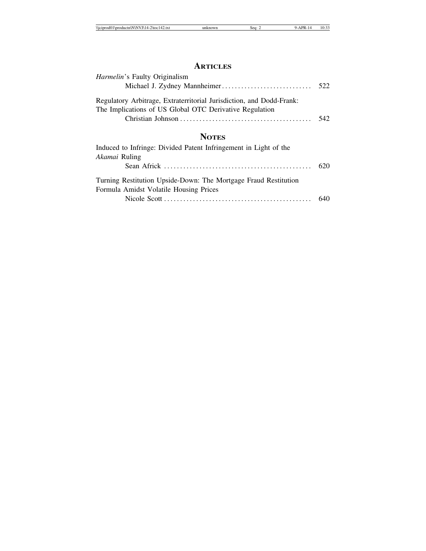## **ARTICLES**

| <i>Harmelin's</i> Faulty Originalism                                                                                            |  |
|---------------------------------------------------------------------------------------------------------------------------------|--|
|                                                                                                                                 |  |
| Regulatory Arbitrage, Extraterritorial Jurisdiction, and Dodd-Frank:<br>The Implications of US Global OTC Derivative Regulation |  |
|                                                                                                                                 |  |
|                                                                                                                                 |  |

# **NOTES**

| Induced to Infringe: Divided Patent Infringement in Light of the                                          |  |
|-----------------------------------------------------------------------------------------------------------|--|
| Akamai Ruling                                                                                             |  |
|                                                                                                           |  |
| Turning Restitution Upside-Down: The Mortgage Fraud Restitution<br>Formula Amidst Volatile Housing Prices |  |
|                                                                                                           |  |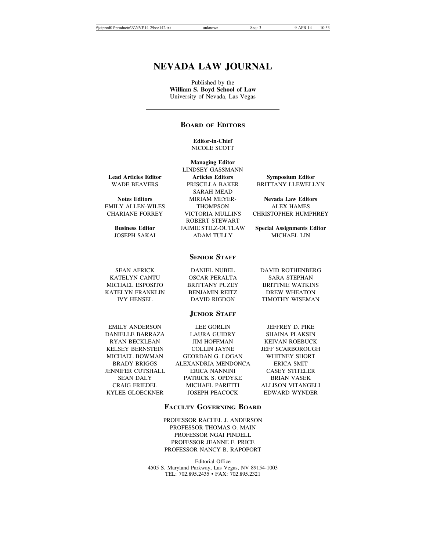## **NEVADA LAW JOURNAL**

Published by the **William S. Boyd School of Law** University of Nevada, Las Vegas

## **BOARD OF EDITORS**

**Editor-in-Chief** NICOLE SCOTT

**Managing Editor** LINDSEY GASSMANN

SARAH MEAD

EMILY ALLEN-WILES THOMPSON ALEX HAMES

ROBERT STEWART JOSEPH SAKAI ADAM TULLY MICHAEL LIN

**Lead Articles Editor Facture Articles Editors Symposium Editor Symposium Editor Articles Editors Articles Editors Symposium Editor** PRISCILLA BAKER BRITTANY LLEWELLYN

**Notes Editors MIRIAM MEYER- Nevada Law Editors** CHARIANE FORREY VICTORIA MULLINS CHRISTOPHER HUMPHREY

**Business Editor** JAIMIE STILZ-OUTLAW **Special Assignments Editor**

## **SENIOR STAFF**

| <b>SEAN AFRICK</b> | <b>DANIEL NUBEL</b>   | <b>DAVID ROTHENBERG</b> |
|--------------------|-----------------------|-------------------------|
| KATELYN CANTU      | OSCAR PERALTA         | SARA STEPHAN            |
| MICHAEL ESPOSITO   | <b>BRITTANY PUZEY</b> | <b>BRITTNIE WATKINS</b> |
| KATELYN FRANKLIN   | <b>BENJAMIN REITZ</b> | DREW WHEATON            |
| <b>IVY HENSEL</b>  | DAVID RIGDON          | TIMOTHY WISEMAN         |
|                    |                       |                         |

## **JUNIOR STAFF**

EMILY ANDERSON LEE GORLIN JEFFREY D. PIKE DANIELLE BARRAZA LAURA GUIDRY SHAINA PLAKSIN JENNIFER CUTSHALL ERICA NANNINI CASEY STITELER

RYAN BECKLEAN JIM HOFFMAN KEIVAN ROEBUCK KELSEY BERNSTEIN COLLIN JAYNE JEFF SCARBOROUGH MICHAEL BOWMAN GEORDAN G. LOGAN WHITNEY SHORT BRADY BRIGGS ALEXANDRIA MENDONCA ERICA SMIT SEAN DALY PATRICK S. OPDYKE BRIAN VASEK CRAIG FRIEDEL MICHAEL PARETTI ALLISON VITANGELI

KYLEE GLOECKNER JOSEPH PEACOCK EDWARD WYNDER

## **FACULTY GOVERNING BOARD**

PROFESSOR RACHEL J. ANDERSON PROFESSOR THOMAS O. MAIN PROFESSOR NGAI PINDELL PROFESSOR JEANNE F. PRICE PROFESSOR NANCY B. RAPOPORT

Editorial Office 4505 S. Maryland Parkway, Las Vegas, NV 89154-1003 TEL: 702.895.2435 • FAX: 702.895.2321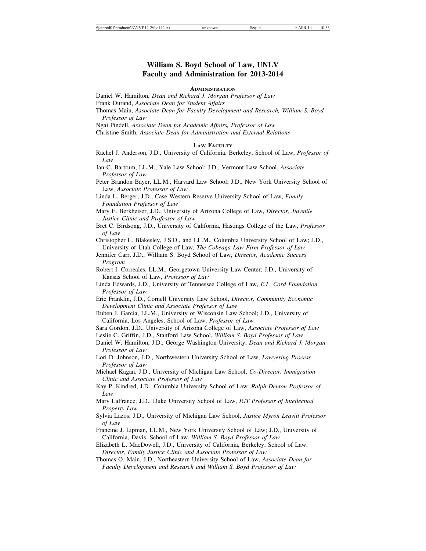## **William S. Boyd School of Law, UNLV Faculty and Administration for 2013-2014**

#### **ADMINISTRATION**

Daniel W. Hamilton, *Dean and Richard J. Morgan Professor of Law*

Frank Durand, *Associate Dean for Student Affairs*

Thomas Main, *Associate Dean for Faculty Development and Research, William S. Boyd Professor of Law*

Ngai Pindell, *Associate Dean for Academic Affairs, Professor of Law*

Christine Smith, *Associate Dean for Administration and External Relations*

### **LAW FACULTY**

Rachel J. Anderson, J.D., University of California, Berkeley, School of Law, *Professor of Law*

Ian C. Bartrum, LL.M., Yale Law School; J.D., Vermont Law School, *Associate Professor of Law*

Peter Brandon Bayer, LL.M., Harvard Law School; J.D., New York University School of Law, *Associate Professor of Law*

Linda L. Berger, J.D., Case Western Reserve University School of Law, *Family Foundation Professor of Law*

Mary E. Berkheiser, J.D., University of Arizona College of Law, *Director, Juvenile Justice Clinic and Professor of Law*

Bret C. Birdsong, J.D., University of California, Hastings College of the Law, *Professor of Law*

Christopher L. Blakesley, J.S.D., and LL.M., Columbia University School of Law; J.D., University of Utah College of Law, *The Cobeaga Law Firm Professor of Law*

Jennifer Carr, J.D., William S. Boyd School of Law, *Director, Academic Success Program*

Robert I. Correales, LL.M., Georgetown University Law Center; J.D., University of Kansas School of Law, *Professor of Law*

Linda Edwards, J.D., University of Tennessee College of Law, *E.L. Cord Foundation Professor of Law*

Eric Franklin, J.D., Cornell University Law School, *Director, Community Economic Development Clinic and Associate Professor of Law*

Ruben J. Garcia, LL.M., University of Wisconsin Law School; J.D., University of California, Los Angeles, School of Law, *Professor of Law*

Sara Gordon, J.D., University of Arizona College of Law, *Associate Professor of Law*

Leslie C. Griffin, J.D., Stanford Law School, *William S. Boyd Professor of Law*

Daniel W. Hamilton, J.D., George Washington University, *Dean and Richard J. Morgan Professor of Law*

Lori D. Johnson, J.D., Northwestern University School of Law, *Lawyering Process Professor of Law*

Michael Kagan, J.D., University of Michigan Law School, *Co-Director, Immigration Clinic and Associate Professor of Law*

Kay P. Kindred, J.D., Columbia University School of Law*, Ralph Denton Professor of Law*

Mary LaFrance, J.D., Duke University School of Law, *IGT Professor of Intellectual Property Law*

Sylvia Lazos, J.D., University of Michigan Law School, *Justice Myron Leavitt Professor of Law*

Francine J. Lipman, LL.M., New York University School of Law; J.D., University of California, Davis, School of Law, *William S. Boyd Professor of Law*

Elizabeth L. MacDowell, J.D., University of California, Berkeley, School of Law, *Director, Family Justice Clinic and Associate Professor of Law*

Thomas O. Main, J.D., Northeastern University School of Law, *Associate Dean for Faculty Development and Research and William S. Boyd Professor of Law*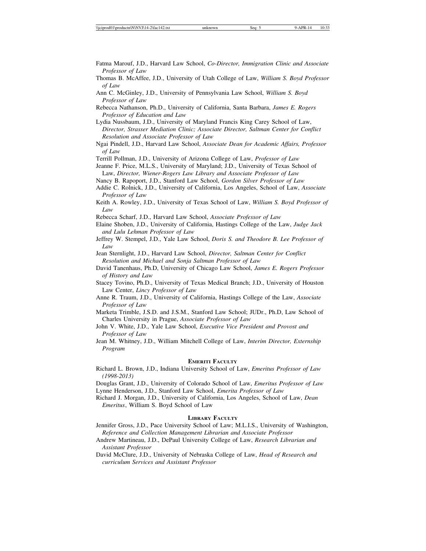Fatma Marouf, J.D., Harvard Law School, *Co-Director, Immigration Clinic and Associate Professor of Law*

Thomas B. McAffee, J.D., University of Utah College of Law, *William S. Boyd Professor of Law*

Rebecca Nathanson, Ph.D., University of California, Santa Barbara, *James E. Rogers Professor of Education and Law*

Lydia Nussbaum, J.D., University of Maryland Francis King Carey School of Law, *Director, Strasser Mediation Clinic; Associate Director, Saltman Center for Conflict Resolution and Associate Professor of Law*

Ngai Pindell, J.D., Harvard Law School, *Associate Dean for Academic Affairs, Professor of Law*

Terrill Pollman, J.D., University of Arizona College of Law, *Professor of Law*

Jeanne F. Price, M.L.S., University of Maryland; J.D., University of Texas School of Law, *Director, Wiener-Rogers Law Library and Associate Professor of Law*

Nancy B. Rapoport, J.D., Stanford Law School, *Gordon Silver Professor of Law* Addie C. Rolnick, J.D., University of California, Los Angeles, School of Law, *Associate*

*Professor of Law*

- Keith A. Rowley, J.D., University of Texas School of Law, *William S. Boyd Professor of Law*
- Rebecca Scharf, J.D., Harvard Law School, *Associate Professor of Law*
- Elaine Shoben, J.D., University of California, Hastings College of the Law, *Judge Jack and Lulu Lehman Professor of Law*
- Jeffrey W. Stempel, J.D., Yale Law School, *Doris S. and Theodore B. Lee Professor of Law*

Jean Sternlight, J.D., Harvard Law School, *Director, Saltman Center for Conflict Resolution and Michael and Sonja Saltman Professor of Law*

- David Tanenhaus, Ph.D, University of Chicago Law School, *James E. Rogers Professor of History and Law*
- Stacey Tovino, Ph.D., University of Texas Medical Branch; J.D., University of Houston Law Center, *Lincy Professor of Law*
- Anne R. Traum, J.D., University of California, Hastings College of the Law, *Associate Professor of Law*
- Marketa Trimble, J.S.D. and J.S.M., Stanford Law School; JUDr., Ph.D, Law School of Charles University in Prague, *Associate Professor of Law*
- John V. White, J.D., Yale Law School, *Executive Vice President and Provost and Professor of Law*
- Jean M. Whitney, J.D., William Mitchell College of Law, *Interim Director, Externship Program*

## **EMERITI FACULTY**

Richard L. Brown, J.D., Indiana University School of Law, *Emeritus Professor of Law (1998-2013)*

Douglas Grant, J.D., University of Colorado School of Law, *Emeritus Professor of Law* Lynne Henderson, J.D., Stanford Law School, *Emerita Professor of Law* 

Richard J. Morgan, J.D., University of California, Los Angeles, School of Law, *Dean Emeritus*, William S. Boyd School of Law

## **LIBRARY FACULTY**

- Jennifer Gross, J.D., Pace University School of Law; M.L.I.S., University of Washington, *Reference and Collection Management Librarian and Associate Professor*
- Andrew Martineau, J.D., DePaul University College of Law, *Research Librarian and Assistant Professor*
- David McClure, J.D., University of Nebraska College of Law, *Head of Research and curriculum Services and Assistant Professor*

Ann C. McGinley, J.D., University of Pennsylvania Law School, *William S. Boyd Professor of Law*